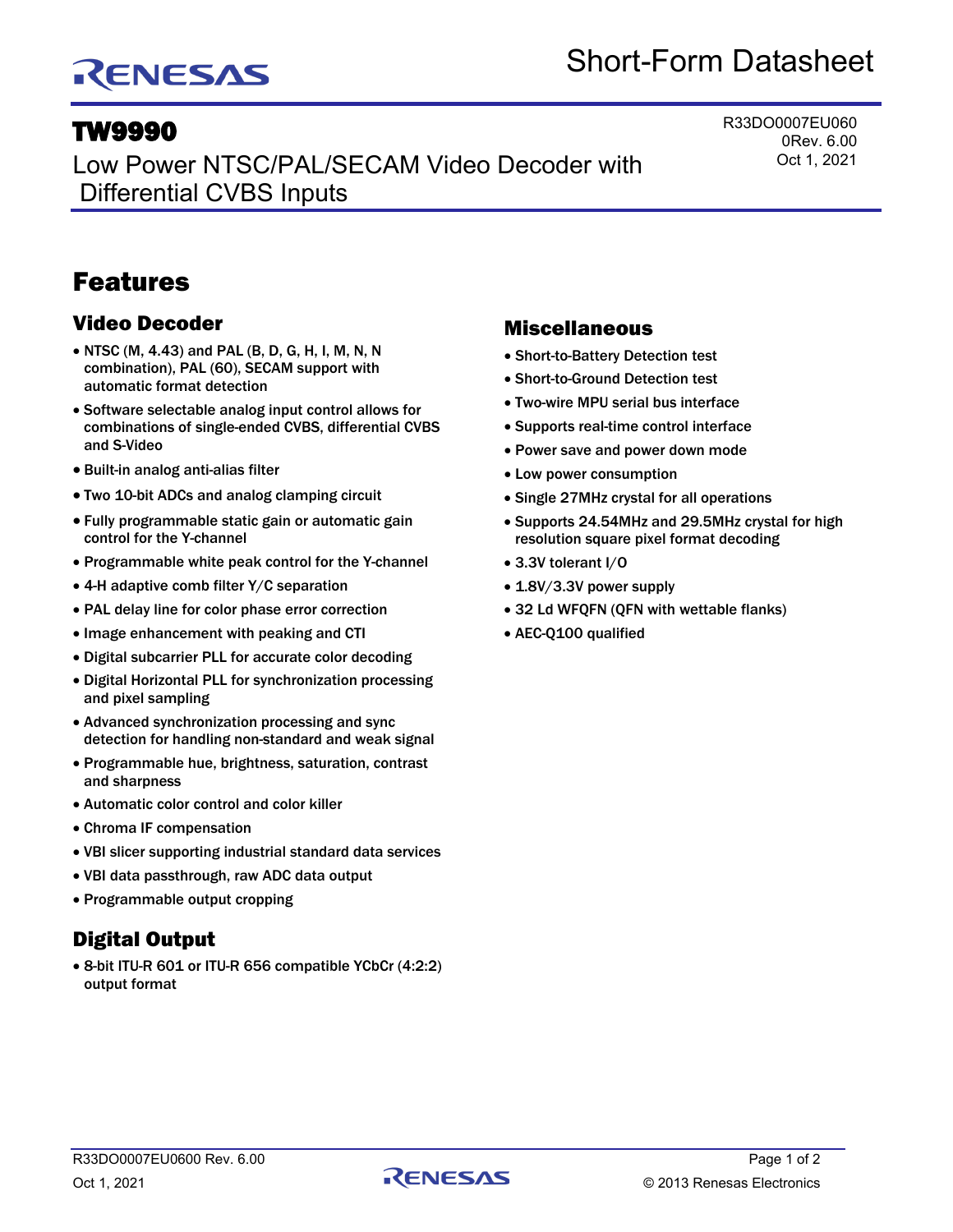# RENESAS

# Short-Form Datasheet

## TW9990

Low Power NTSC/PAL/SECAM Video Decoder with Differential CVBS Inputs

R33DO0007EU060 0Rev. 6.00 Oct 1, 2021

## Features

## Video Decoder

- NTSC (M, 4.43) and PAL (B, D, G, H, I, M, N, N combination), PAL (60), SECAM support with automatic format detection
- Software selectable analog input control allows for combinations of single-ended CVBS, differential CVBS and S-Video
- Built-in analog anti-alias filter
- Two 10-bit ADCs and analog clamping circuit
- Fully programmable static gain or automatic gain control for the Y-channel
- Programmable white peak control for the Y-channel
- 4-H adaptive comb filter Y/C separation
- PAL delay line for color phase error correction
- Image enhancement with peaking and CTI
- Digital subcarrier PLL for accurate color decoding
- Digital Horizontal PLL for synchronization processing and pixel sampling
- Advanced synchronization processing and sync detection for handling non-standard and weak signal
- Programmable hue, brightness, saturation, contrast and sharpness
- Automatic color control and color killer
- Chroma IF compensation
- VBI slicer supporting industrial standard data services
- VBI data passthrough, raw ADC data output
- Programmable output cropping

## Digital Output

• 8-bit ITU-R 601 or ITU-R 656 compatible YCbCr (4:2:2) output format

### Miscellaneous

- Short-to-Battery Detection test
- Short-to-Ground Detection test
- Two-wire MPU serial bus interface
- Supports real-time control interface
- Power save and power down mode
- Low power consumption
- Single 27MHz crystal for all operations
- Supports 24.54MHz and 29.5MHz crystal for high resolution square pixel format decoding
- 3.3V tolerant I/O
- 1.8V/3.3V power supply
- 32 Ld WFQFN (QFN with wettable flanks)
- AEC-Q100 qualified

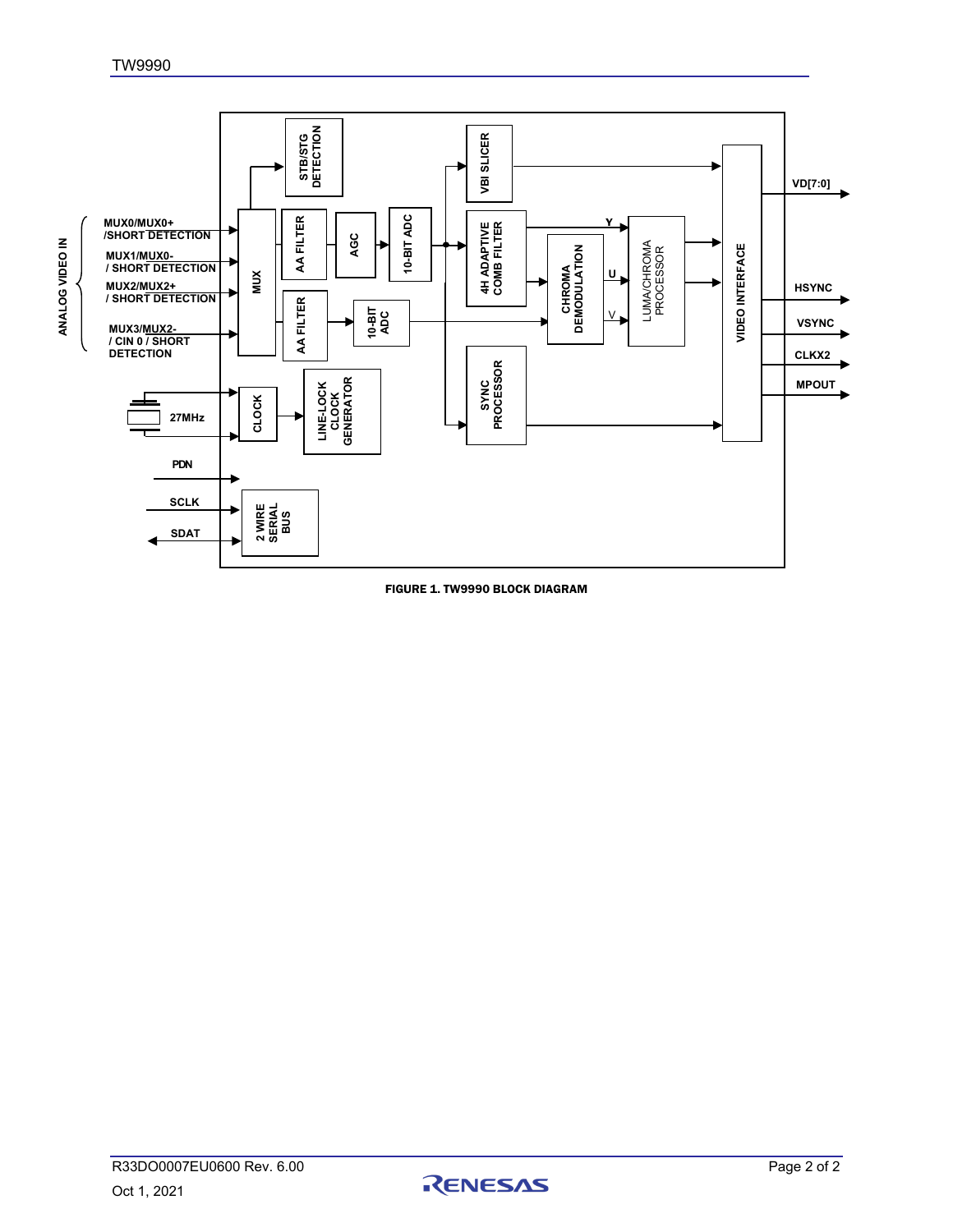

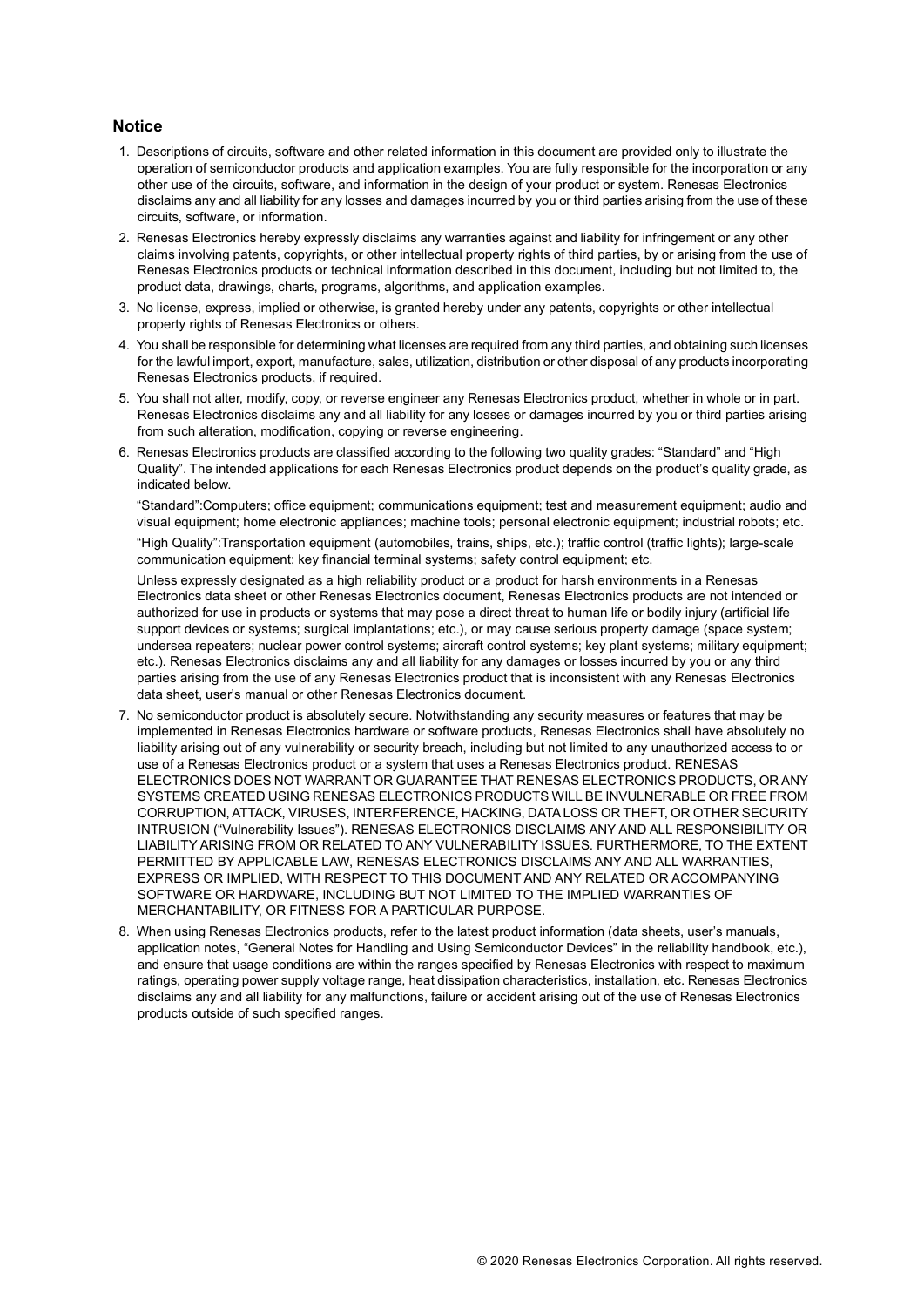#### **Notice**

- 1. Descriptions of circuits, software and other related information in this document are provided only to illustrate the operation of semiconductor products and application examples. You are fully responsible for the incorporation or any other use of the circuits, software, and information in the design of your product or system. Renesas Electronics disclaims any and all liability for any losses and damages incurred by you or third parties arising from the use of these circuits, software, or information.
- 2. Renesas Electronics hereby expressly disclaims any warranties against and liability for infringement or any other claims involving patents, copyrights, or other intellectual property rights of third parties, by or arising from the use of Renesas Electronics products or technical information described in this document, including but not limited to, the product data, drawings, charts, programs, algorithms, and application examples.
- 3. No license, express, implied or otherwise, is granted hereby under any patents, copyrights or other intellectual property rights of Renesas Electronics or others.
- 4. You shall be responsible for determining what licenses are required from any third parties, and obtaining such licenses for the lawful import, export, manufacture, sales, utilization, distribution or other disposal of any products incorporating Renesas Electronics products, if required.
- 5. You shall not alter, modify, copy, or reverse engineer any Renesas Electronics product, whether in whole or in part. Renesas Electronics disclaims any and all liability for any losses or damages incurred by you or third parties arising from such alteration, modification, copying or reverse engineering.
- 6. Renesas Electronics products are classified according to the following two quality grades: "Standard" and "High Quality". The intended applications for each Renesas Electronics product depends on the product's quality grade, as indicated below.

"Standard":Computers; office equipment; communications equipment; test and measurement equipment; audio and visual equipment; home electronic appliances; machine tools; personal electronic equipment; industrial robots; etc.

"High Quality":Transportation equipment (automobiles, trains, ships, etc.); traffic control (traffic lights); large-scale communication equipment; key financial terminal systems; safety control equipment; etc.

Unless expressly designated as a high reliability product or a product for harsh environments in a Renesas Electronics data sheet or other Renesas Electronics document, Renesas Electronics products are not intended or authorized for use in products or systems that may pose a direct threat to human life or bodily injury (artificial life support devices or systems; surgical implantations; etc.), or may cause serious property damage (space system; undersea repeaters; nuclear power control systems; aircraft control systems; key plant systems; military equipment; etc.). Renesas Electronics disclaims any and all liability for any damages or losses incurred by you or any third parties arising from the use of any Renesas Electronics product that is inconsistent with any Renesas Electronics data sheet, user's manual or other Renesas Electronics document.

- 7. No semiconductor product is absolutely secure. Notwithstanding any security measures or features that may be implemented in Renesas Electronics hardware or software products, Renesas Electronics shall have absolutely no liability arising out of any vulnerability or security breach, including but not limited to any unauthorized access to or use of a Renesas Electronics product or a system that uses a Renesas Electronics product. RENESAS ELECTRONICS DOES NOT WARRANT OR GUARANTEE THAT RENESAS ELECTRONICS PRODUCTS, OR ANY SYSTEMS CREATED USING RENESAS ELECTRONICS PRODUCTS WILL BE INVULNERABLE OR FREE FROM CORRUPTION, ATTACK, VIRUSES, INTERFERENCE, HACKING, DATA LOSS OR THEFT, OR OTHER SECURITY INTRUSION ("Vulnerability Issues"). RENESAS ELECTRONICS DISCLAIMS ANY AND ALL RESPONSIBILITY OR LIABILITY ARISING FROM OR RELATED TO ANY VULNERABILITY ISSUES. FURTHERMORE, TO THE EXTENT PERMITTED BY APPLICABLE LAW, RENESAS ELECTRONICS DISCLAIMS ANY AND ALL WARRANTIES, EXPRESS OR IMPLIED, WITH RESPECT TO THIS DOCUMENT AND ANY RELATED OR ACCOMPANYING SOFTWARE OR HARDWARE, INCLUDING BUT NOT LIMITED TO THE IMPLIED WARRANTIES OF MERCHANTABILITY, OR FITNESS FOR A PARTICULAR PURPOSE.
- 8. When using Renesas Electronics products, refer to the latest product information (data sheets, user's manuals, application notes, "General Notes for Handling and Using Semiconductor Devices" in the reliability handbook, etc.), and ensure that usage conditions are within the ranges specified by Renesas Electronics with respect to maximum ratings, operating power supply voltage range, heat dissipation characteristics, installation, etc. Renesas Electronics disclaims any and all liability for any malfunctions, failure or accident arising out of the use of Renesas Electronics products outside of such specified ranges.